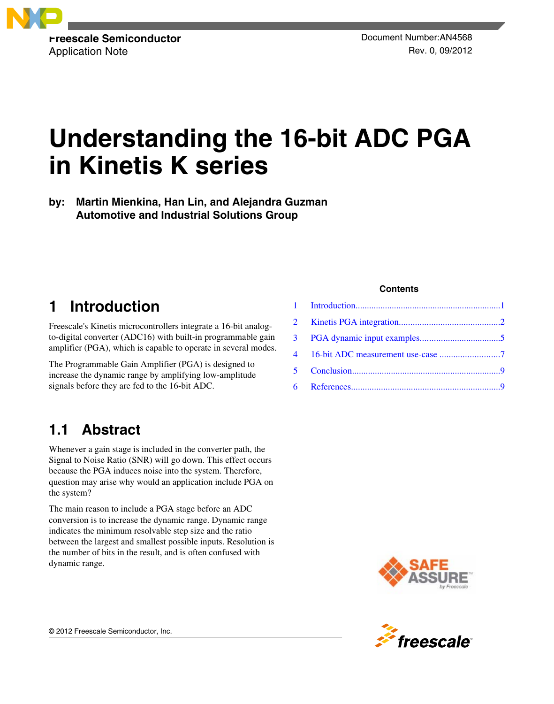

# **Understanding the 16-bit ADC PGA in Kinetis K series**

**by: Martin Mienkina, Han Lin, and Alejandra Guzman Automotive and Industrial Solutions Group**

# **1 Introduction**

Freescale's Kinetis microcontrollers integrate a 16-bit analogto-digital converter (ADC16) with built-in programmable gain amplifier (PGA), which is capable to operate in several modes.

The Programmable Gain Amplifier (PGA) is designed to increase the dynamic range by amplifying low-amplitude signals before they are fed to the 16-bit ADC.

# **1.1 Abstract**

Whenever a gain stage is included in the converter path, the Signal to Noise Ratio (SNR) will go down. This effect occurs because the PGA induces noise into the system. Therefore, question may arise why would an application include PGA on the system?

The main reason to include a PGA stage before an ADC conversion is to increase the dynamic range. Dynamic range indicates the minimum resolvable step size and the ratio between the largest and smallest possible inputs. Resolution is the number of bits in the result, and is often confused with dynamic range.

### **Contents**



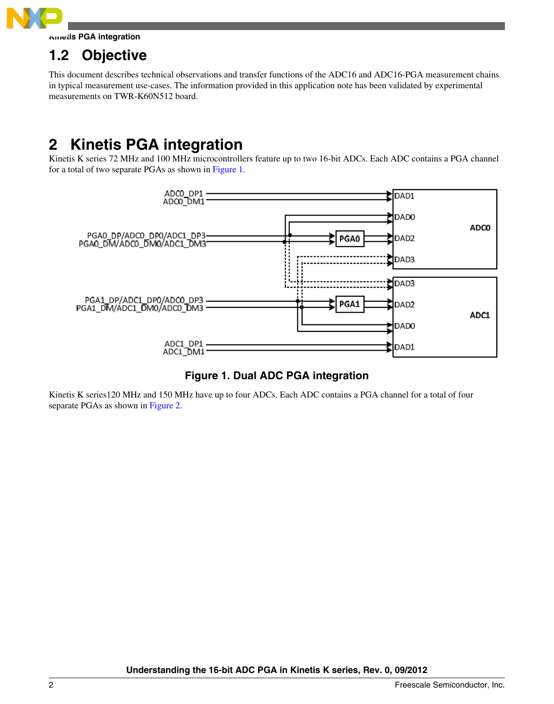<span id="page-1-0"></span>

**Kinetis PGA integration**

# **1.2 Objective**

This document describes technical observations and transfer functions of the ADC16 and ADC16-PGA measurement chains in typical measurement use-cases. The information provided in this application note has been validated by experimental measurements on TWR-K60N512 board.

# **2 Kinetis PGA integration**

Kinetis K series 72 MHz and 100 MHz microcontrollers feature up to two 16-bit ADCs. Each ADC contains a PGA channel for a total of two separate PGAs as shown in Figure 1.



### **Figure 1. Dual ADC PGA integration**

Kinetis K series120 MHz and 150 MHz have up to four ADCs. Each ADC contains a PGA channel for a total of four separate PGAs as shown in [Figure 2.](#page-2-0)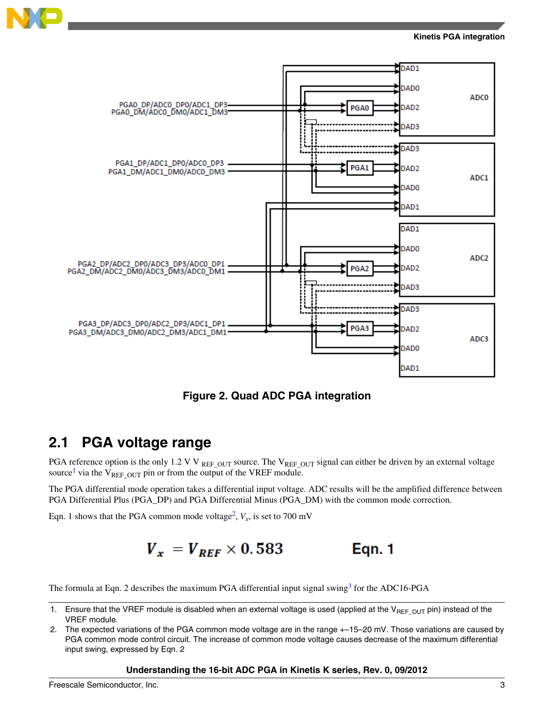<span id="page-2-0"></span>



**Figure 2. Quad ADC PGA integration**

### **2.1 PGA voltage range**

PGA reference option is the only 1.2 V V REF\_OUT source. The V<sub>REF\_OUT</sub> signal can either be driven by an external voltage source<sup>1</sup> via the  $V_{REF\_OUT}$  pin or from the output of the VREF module.

The PGA differential mode operation takes a differential input voltage. ADC results will be the amplified difference between PGA Differential Plus (PGA\_DP) and PGA Differential Minus (PGA\_DM) with the common mode correction.

Eqn. 1 shows that the PGA common mode voltage<sup>2</sup>,  $V_x$ , is set to 700 mV

$$
V_x = V_{REF} \times 0.583
$$
 Eqn. 1

The formula at Eqn. 2 describes the maximum PGA differential input signal swing<sup>[3](#page-3-0)</sup> for the ADC16-PGA

2. The expected variations of the PGA common mode voltage are in the range  $+-15-20$  mV. Those variations are caused by PGA common mode control circuit. The increase of common mode voltage causes decrease of the maximum differential input swing, expressed by Eqn. 2

### **Understanding the 16-bit ADC PGA in Kinetis K series, Rev. 0, 09/2012**

<sup>1.</sup> Ensure that the VREF module is disabled when an external voltage is used (applied at the V<sub>REFOUT</sub> pin) instead of the VREF module.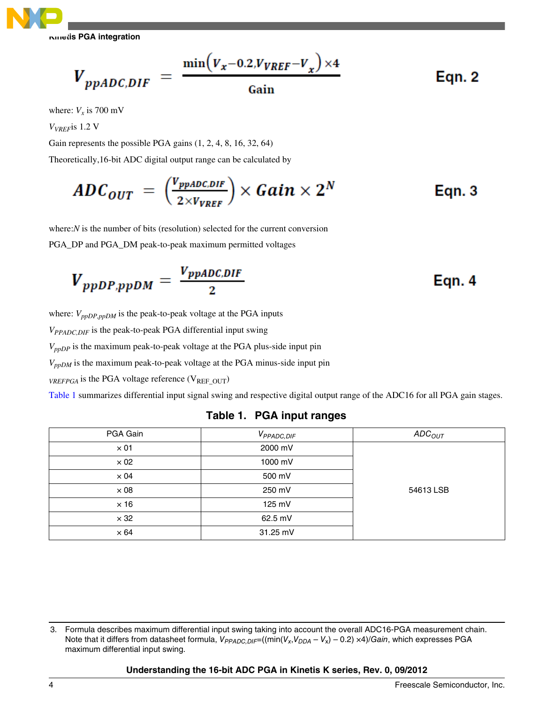<span id="page-3-0"></span>**Kinetis PGA integration**

$$
V_{ppADC,DIF} = \frac{\min(V_x - 0.2, V_{VREF} - V_x) \times 4}{\text{Gain}} \qquad \text{Eqn. 2}
$$

where:  $V_x$  is 700 mV

*VVREF*is 1.2 V

Gain represents the possible PGA gains (1, 2, 4, 8, 16, 32, 64)

Theoretically,16-bit ADC digital output range can be calculated by

$$
ADC_{OUT} = \left(\frac{V_{ppADC,DIF}}{2 \times V_{VREF}}\right) \times Gain \times 2^N
$$
 Eqn. 3

where:*N* is the number of bits (resolution) selected for the current conversion PGA\_DP and PGA\_DM peak-to-peak maximum permitted voltages

$$
V_{ppDP,ppDM} = \frac{V_{ppADC,DIF}}{2}
$$
 Eqn. 4

where:  $V_{ppDP,ppDM}$  is the peak-to-peak voltage at the PGA inputs

*VPPADC,DIF* is the peak-to-peak PGA differential input swing

*VppDP* is the maximum peak-to-peak voltage at the PGA plus-side input pin

*VppDM* is the maximum peak-to-peak voltage at the PGA minus-side input pin

*VREFPGA* is the PGA voltage reference ( $V_{REF\;OUT}$ )

Table 1 summarizes differential input signal swing and respective digital output range of the ADC16 for all PGA gain stages.

| PGA Gain    | V <sub>PPADC, DIF</sub> | ADC <sub>OUT</sub> |
|-------------|-------------------------|--------------------|
| $\times$ 01 | 2000 mV                 |                    |
| $\times 02$ | 1000 mV                 |                    |
| $\times 04$ | 500 mV                  |                    |
| $\times 08$ | 250 mV                  | 54613 LSB          |
| $\times$ 16 | 125 mV                  |                    |
| $\times$ 32 | 62.5 mV                 |                    |
| $\times 64$ | 31.25 mV                |                    |

### **Table 1. PGA input ranges**

<sup>3.</sup> Formula describes maximum differential input swing taking into account the overall ADC16-PGA measurement chain. Note that it differs from datasheet formula, *VPPADC,DIF*=((min(*V<sup>x</sup>* ,*VDDA* – *V*<sup>x</sup> ) – 0.2) ×4)/*Gain*, which expresses PGA maximum differential input swing.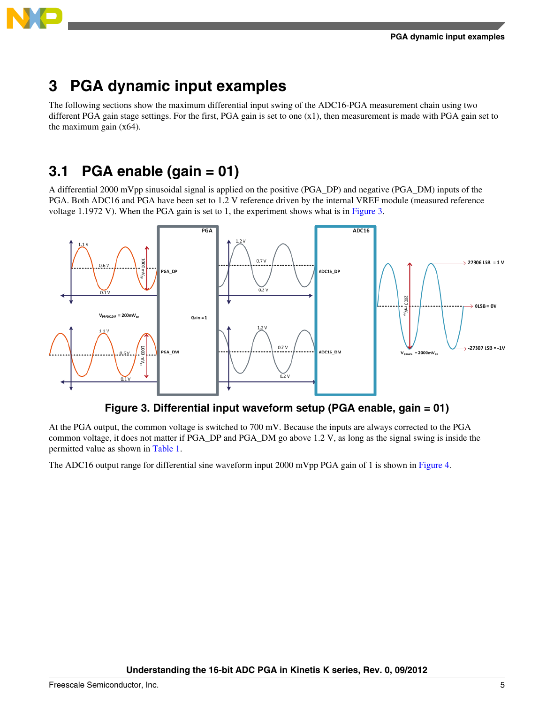<span id="page-4-0"></span>

# **3 PGA dynamic input examples**

The following sections show the maximum differential input swing of the ADC16-PGA measurement chain using two different PGA gain stage settings. For the first, PGA gain is set to one (x1), then measurement is made with PGA gain set to the maximum gain (x64).

# **3.1 PGA enable (gain = 01)**

A differential 2000 mVpp sinusoidal signal is applied on the positive (PGA\_DP) and negative (PGA\_DM) inputs of the PGA. Both ADC16 and PGA have been set to 1.2 V reference driven by the internal VREF module (measured reference voltage 1.1972 V). When the PGA gain is set to 1, the experiment shows what is in Figure 3.



### **Figure 3. Differential input waveform setup (PGA enable, gain = 01)**

At the PGA output, the common voltage is switched to 700 mV. Because the inputs are always corrected to the PGA common voltage, it does not matter if PGA\_DP and PGA\_DM go above 1.2 V, as long as the signal swing is inside the permitted value as shown in [Table 1.](#page-3-0)

The ADC16 output range for differential sine waveform input 2000 mVpp PGA gain of 1 is shown in [Figure 4](#page-5-0).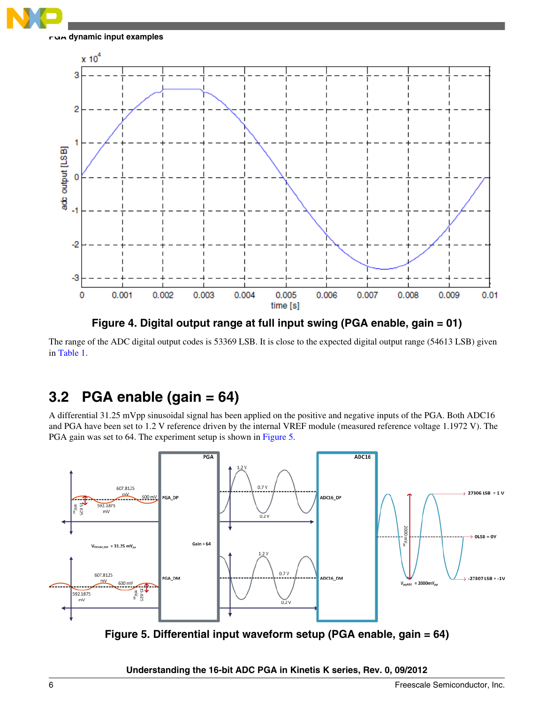<span id="page-5-0"></span>

**PGA dynamic input examples**



**Figure 4. Digital output range at full input swing (PGA enable, gain = 01)**

The range of the ADC digital output codes is 53369 LSB. It is close to the expected digital output range (54613 LSB) given in [Table 1.](#page-3-0)

## **3.2 PGA enable (gain = 64)**

A differential 31.25 mVpp sinusoidal signal has been applied on the positive and negative inputs of the PGA. Both ADC16 and PGA have been set to 1.2 V reference driven by the internal VREF module (measured reference voltage 1.1972 V). The PGA gain was set to 64. The experiment setup is shown in Figure 5.



**Figure 5. Differential input waveform setup (PGA enable, gain = 64)**

**Understanding the 16-bit ADC PGA in Kinetis K series, Rev. 0, 09/2012**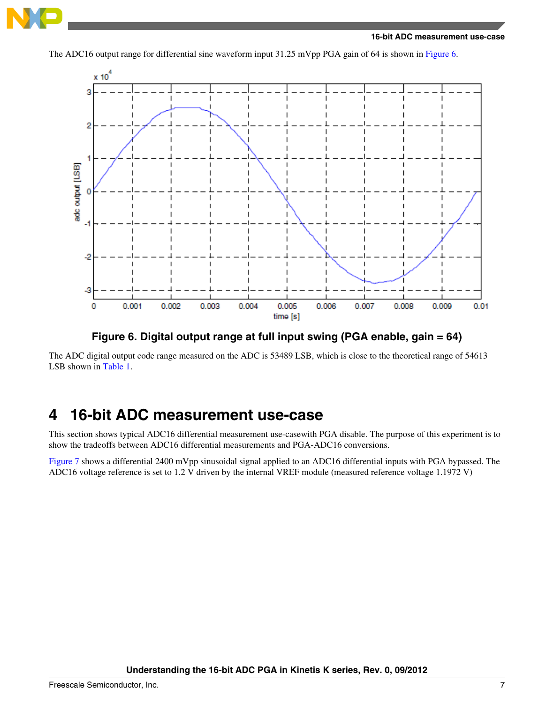<span id="page-6-0"></span>

The ADC16 output range for differential sine waveform input 31.25 mVpp PGA gain of 64 is shown in Figure 6.



**Figure 6. Digital output range at full input swing (PGA enable, gain = 64)**

The ADC digital output code range measured on the ADC is 53489 LSB, which is close to the theoretical range of 54613 LSB shown in [Table 1](#page-3-0).

## **4 16-bit ADC measurement use-case**

This section shows typical ADC16 differential measurement use-casewith PGA disable. The purpose of this experiment is to show the tradeoffs between ADC16 differential measurements and PGA-ADC16 conversions.

[Figure 7](#page-7-0) shows a differential 2400 mVpp sinusoidal signal applied to an ADC16 differential inputs with PGA bypassed. The ADC16 voltage reference is set to 1.2 V driven by the internal VREF module (measured reference voltage 1.1972 V)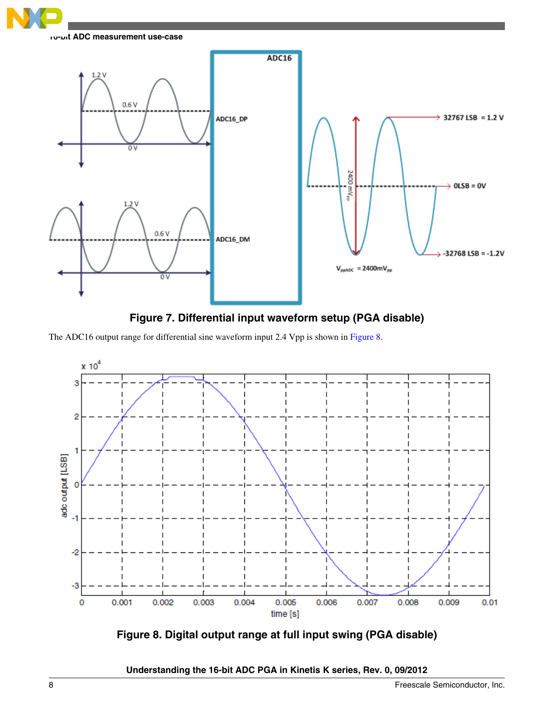<span id="page-7-0"></span>



The ADC16 output range for differential sine waveform input 2.4 Vpp is shown in Figure 8.



**Figure 8. Digital output range at full input swing (PGA disable)**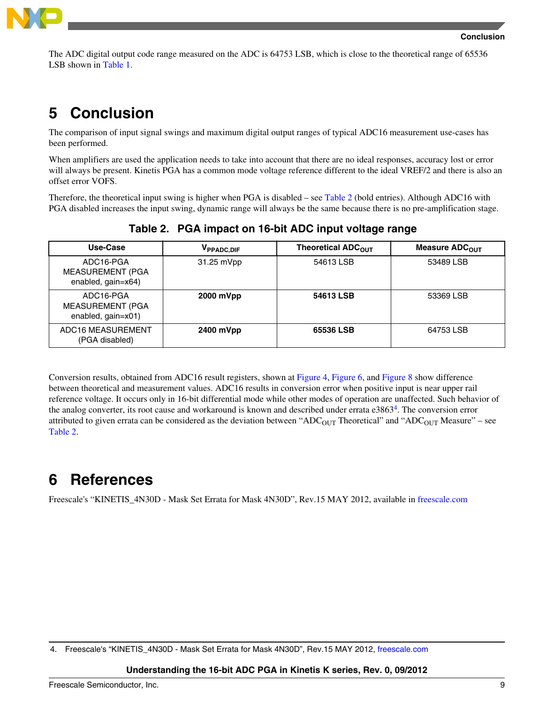

<span id="page-8-0"></span>The ADC digital output code range measured on the ADC is 64753 LSB, which is close to the theoretical range of 65536 LSB shown in [Table 1](#page-3-0).

# **5 Conclusion**

The comparison of input signal swings and maximum digital output ranges of typical ADC16 measurement use-cases has been performed.

When amplifiers are used the application needs to take into account that there are no ideal responses, accuracy lost or error will always be present. Kinetis PGA has a common mode voltage reference different to the ideal VREF/2 and there is also an offset error VOFS.

Therefore, the theoretical input swing is higher when PGA is disabled – see Table 2 (bold entries). Although ADC16 with PGA disabled increases the input swing, dynamic range will always be the same because there is no pre-amplification stage.

| Use-Case                                                   | V <sub>PPADC, DIF</sub> | Theoretical ADC <sub>OUT</sub> | Measure ADC <sub>OUT</sub> |
|------------------------------------------------------------|-------------------------|--------------------------------|----------------------------|
| ADC16-PGA<br><b>MEASUREMENT (PGA</b><br>enabled, gain=x64) | 31.25 mVpp              | 54613 LSB                      | 53489 LSB                  |
| ADC16-PGA<br><b>MEASUREMENT (PGA</b><br>enabled, gain=x01) | 2000 mVpp               | 54613 LSB                      | 53369 LSB                  |
| ADC16 MEASUREMENT<br>(PGA disabled)                        | 2400 mVpp               | 65536 LSB                      | 64753 LSB                  |

**Table 2. PGA impact on 16-bit ADC input voltage range**

Conversion results, obtained from ADC16 result registers, shown at [Figure 4,](#page-5-0) [Figure 6](#page-6-0), and [Figure 8](#page-7-0) show difference between theoretical and measurement values. ADC16 results in conversion error when positive input is near upper rail reference voltage. It occurs only in 16-bit differential mode while other modes of operation are unaffected. Such behavior of the analog converter, its root cause and workaround is known and described under errata e3863<sup>4</sup>. The conversion error attributed to given errata can be considered as the deviation between "ADC<sub>OUT</sub> Theoretical" and "ADC<sub>OUT</sub> Measure" – see Table 2.

# **6 References**

Freescale's "KINETIS\_4N30D - Mask Set Errata for Mask 4N30D", Rev.15 MAY 2012, available in [freescale.com](http://www.freescale.com/files/microcontrollers/doc/errata/KINETIS_4N30D.pdf)

### **Understanding the 16-bit ADC PGA in Kinetis K series, Rev. 0, 09/2012**

<sup>4.</sup> Freescale's "KINETIS\_4N30D - Mask Set Errata for Mask 4N30D", Rev.15 MAY 2012, [freescale.com](http://www.freescale.com/files/microcontrollers/doc/errata/KINETIS_4N30D.pdf)